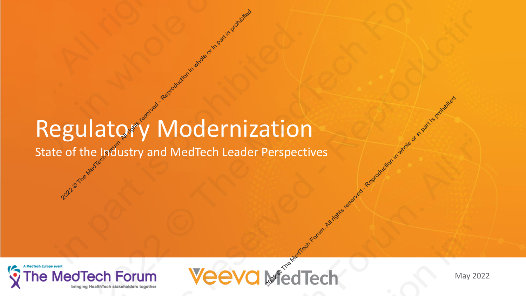## Regulatory Modernization 2020 The Medicine of the Anti-Anti-Apple of the Anti-Apple of the Anti-Apple of the Anti-Apple of the Anti-Apple of the Anti-Apple of the Anti-Apple of the Anti-Apple of the Anti-Apple of the Anti-Apple of the Apple of the 2022 Productly Modernization in Medicine Respectives<br>
2022 Productly and Medicine Reader Perspectives<br>
2022 Productly and Weeva Medicine May 2022 2021 Regulatory Modernization<br>
2022 Constant of the Industry and MedTech Leader Perspected.<br>
2022 Medicine of Forum.<br>
2022 Medicine Schotland. 2022<br>2021 Regulatory Modernization<br>2022<br>2022 Prince MedTech Forum. Veeva MedTech 2021 Regulatory Modernization<br>2022 State of the Industry and MedTech Leader Perspectives<br>2022 MedTech Forum. Weeva MedTech 2022<br>2021 Regulatory Modernization<br>2022<br>2022 Prince MedTech Forum. Veeva MedTech 2021 CHA CHARLES CONTROLLAND CONTROLLAND CONTROLLAND CONTROLLAND CONTROLLAND CONTROLLAND CONTROLLAND CONTROLLAND CONTROLLAND CONTROLLAND CONTROLLAND CONTROLLAND CONTROLLAND CONTROLLAND CONTROLLAND CONTROLLAND CONTROLLAND C 2022<br>2021 Regulatory Modernization<br>2022<br>2022 Prince MedTech Forum. Veeva MedTech

State of the Industry and MedTech Leader Perspectives





May 2022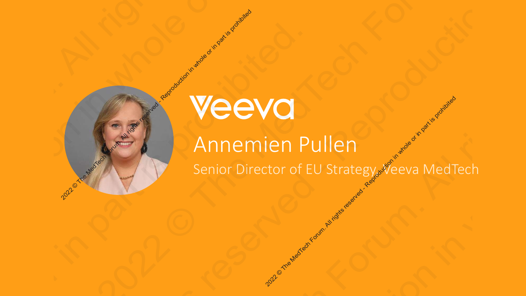### Senior Director of EU Strategy, veeva MedTech Annemien Pullen **2022** The Medicine Reproduction in Medicine or in part is producted and the Medicine or in part is producted and the part is property of the served of an all rights reserved and the part is property of the served of the s **2022 CEVO**<br>2022 Annemien Pullen<br>2022 Cenior Director of EU Strategy Veeva MedTech 2022 Manual Reproduction of Senior Director of **2021 PEEVO**<br>2021 Annemien Pullen<br>2021 Control Director of EU Strategy veeva MedTech **2021 CEVO**<br>2021 Annemien Pullen<br>2021 Centro Director of EU Strategy, Veeva MedTech part is proposed and the part is problem. **2021 PEEVO**<br>2021 Annemien Pullen<br>2021 Control Director of EU Strategy veeva MedTech **2021 Annemien Pullen**<br>
Senior Director of EU Strategy, Neeva MedTech<br>
Personal Reproduction in Part is property of the Contract of EU Strategy, Neeva MedTech **2021 PEEVO**<br>2021 Annemien Pullen<br>2021 Control Director of EU Strategy veeva MedTech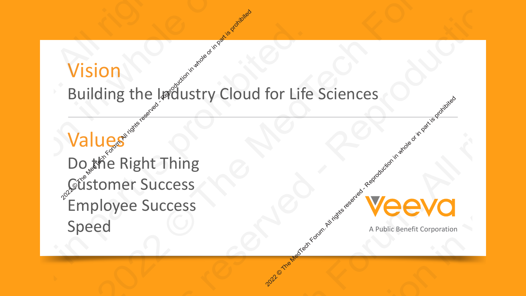### Vision

### Building the Industry Cloud for Life Sciences

Values Do the Right Thing Customer Success Employee Success Speed A Public Benefit Corporation Vision<br>
Building the Industry Clou<br>
Values<br>
Do the Right Thing<br>
Customer Success 2022 Production Contains and Contains and Contains reserved and Contains reserved and Contains reserved and Contains reserved and Contains and Contains and Contains and Contains and Contains and Contains and Contains and C Vision<br>
Building the Ladiustry Cloud for Lit<br>
Values<br>
Do the Right Thing<br>
Customer Success<br>
Employee Success<br>
Speed<br>
Customer Currents<br>
Speed Vision<br>
Building the Infustry Cloud for Life Sciences<br>
Values<br>
Do the Right Thing<br>
Customer Success<br>
Speed<br>
Speed<br>
Problement Computer Vision<br>
Building the Industry Cloud for Life Sciences<br>
Values<br>
Do the Right Thing<br>
Customer Success<br>
Speed<br>
Speed<br>
A Publicalment Corporation<br>
A Publicalment Corporation<br>
A Publicalment Corporation<br>
A Publicalment Corporat Vision<br>
Building the Infustry Cloud for Life Sciences<br>
Values<br>
Do the Right Thing<br>
Customer Success<br>
Speed<br>
Speed<br>
Problement Computer Vision<br>
2021 Building the Infoustry Cloud for Life Sciences<br>
Values<br>
Do the Right Thing<br>
Customer Success<br>
Employee Success<br>
Speed<br>
And Reproduction in part is problem. Vision<br>
Building the Infustry Cloud for Life Sciences<br>
Values<br>
Do the Right Thing<br>
Customer Success<br>
Speed<br>
Speed<br>
Problement Computer



Copyright © Veeva Systems 2022. Veeva Confidential. 3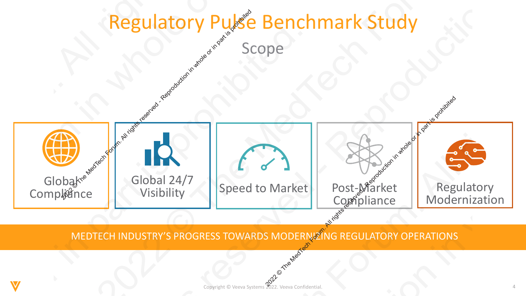

MEDTECH INDUSTRY'S PROGRESS TOWARDS MODERNIZING REGULATORY OPERATIONS

Copyright © Veeva Systems 2022. Veeva Confidential.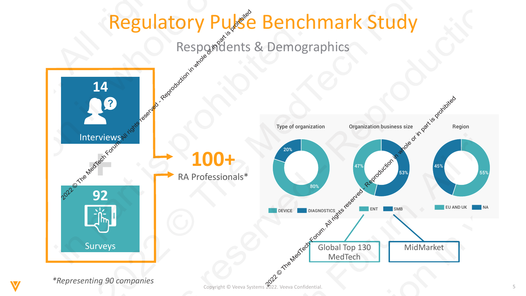### Regulatory Pulse Benchmark Study  $\Omega$  ometric survey of metric  $\Omega$  metric  $\Omega$  $\Omega$  reflections and full regulatory processes and functions  $\mathbb{R}$ their organizations. Completion of the survey was voluntary. All participants were offered a

Respondents & Demographics complimentary copy of a report upon the study  $\mathcal{C}$  indicated. No other completion if indicated. No other compensation if in Demograp

![](_page_4_Figure_2.jpeg)

Copyright © Veeva Systems 2022. Veeva Confidential. 5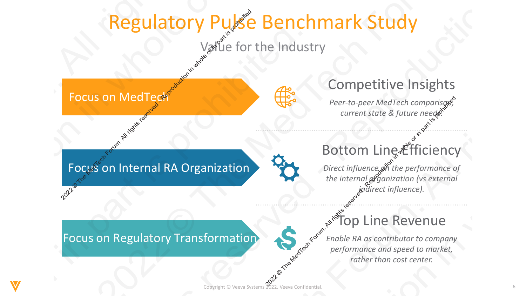![](_page_5_Figure_0.jpeg)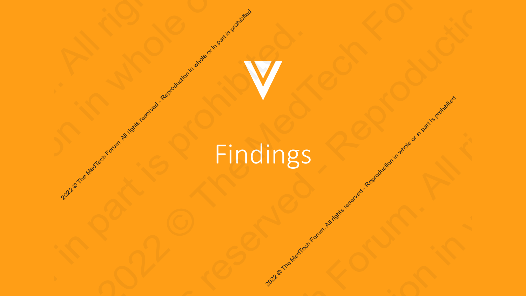## All or and Medican Reproduction in Medican Company of a company of a company in a production in the company is production in the company of a company is proposition in the company of a company of a company of a company is 2022 © The MedTech Forum. All rights reserved. Reproduction in whole or in part is problem. 2022 Protection in Medicine and Reproduction in whole or in part is problem in whole or in part is problem in whole or in part is problem in whole or in part is problem in whole or in part is problem in whole or in part is 2020 or in whole or in part is property in whole or in part is property in the served of the control or in part is property in the control of the control of the control of the control of the control of the control of the c 2021 Comparation in Media Reproduction in whole or in part is producted. 2021 Princings - Reproduction in whole or in part is producted in the served or in part is problem. 2021 Comparation in Media Reproduction in whole or in part is producted. 2021 Proposition in Media Reproduction in whole or in part is producted. 2021 Comparation in Media Reproduction in whole or in part is producted.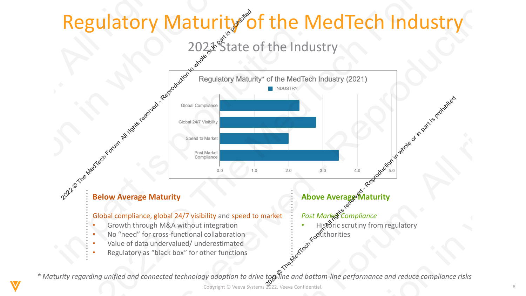### Regulatory Maturity of the MedTech Industry

202<sup>2</sup> State of the Industry

![](_page_7_Figure_2.jpeg)

*\* Maturity regarding unified and connected technology adoption to drive top-line and bottom-line performance and reduce compliance risks*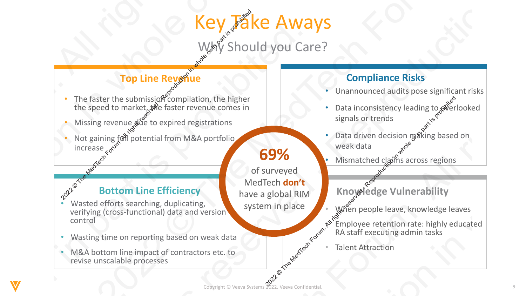# Key Fake Aways **2022 Example 1998**<br> **2022 Compliance Risks**<br>
Externe submission (the Media or in the higher compliance Risks<br>
Second to manie the distribution, the higher compliance and solution in the higher or in the compliance exp

Why Should you Care?

### **Top Line Reveriue**

- The faster the submission compilation, the higher the speed to market, the faster revenue comes in
- Missing revenue due to expired registrations
- Not gaining  $f(x)$  potential from M&A portfolio increase  $60^{\circ}$ 2022 Contract Forum. All rights reserved to the speed to market, the faster revenue comes in<br>
2022 Contract For the speed to market, the faster revenue comes in<br>
2023 Contract in part is problem in part in part is protecte

### **69%**  of surveyed

MedTech **don't**

have a global RIM

system in place

### Citie Efficie **Bottom Line Efficiency**

- wasted errorts searching, duplicating,<br>verifying (cross-functional) data and version **• The Efficiency<br>• Wasted efforts searching, duplicating,** control 2022<br>
2021 C The Faster the submission compilation, the higher<br>
the speed to market we destre revenue comes in<br>
2022<br>
2022<br>
2022<br>
2022<br>
2022<br>
2022<br>
2022<br>
2022<br>
2023<br>
2023<br>
2023<br>
2023<br>
2023<br>
2023<br>
2023<br>
2023<br>
2023<br>
2023<br>
20 2022<br>
2021 Prop Line Reveal of Compliance Risks<br>
2021 Compliance Risks<br>
2021 Compliance Risks<br>
2021 Compliance Risks<br>
2022 Compliance All rights reserved and the species of Control of the species of Compliance and the spec 2022<br>
2021 Properties and the mediate of the mediate method is possible and the mediate method is properties the specifical form and the higher the specifical form M&A portion is properties the specifical form M&A portion 2022<br>
2021 Prop Line Reveal of Compliance Risks<br>
2021 Compliance Risks<br>
2021 Compliance Risks<br>
2021 Compliance Risks<br>
2022 Compliance All rights reserved and the species of Control of the species of Compliance and the spec **2021 EVALUATION**<br>
2022 **Compliance Risks**<br>
2021 Compliance Risks<br>
2021 Compliance Risks<br>
2022 **Compliance Risks**<br>
2022 **Compliance Risks**<br>
2022 **Compliance Risks**<br>
2023 **Compliance Risks**<br>
2023 **Compliance Risks**<br>
2023 2022<br>
2021 Prop Line Reveal of Compliance Risks<br>
2021 Compliance Risks<br>
2021 Compliance Risks<br>
2021 Compliance Risks<br>
2022 Compliance All rights reserved and the species of Control of the species of Compliance and the spec
	- Wasting time on reporting based on weak data
	- M&A bottom line impact of contractors etc. to revise unscalable processes

### **Compliance Risks**

- Unannounced audits pose significant risks
- Copyright © Veva Systems 2022. Veeva Confidential. • Data inconsistency leading to overlooked signals or trends
	- Data driven decision maxing based on weak data
		- Mismatched claims across regions
		- **Knowledge Vulnerability**
	- · When people leave, knowledge leaves
	- $\mathbb{R}^{\aleph^2}$ Employee retention rate: highly educated RA staff executing admin tasks
		- **Talent Attraction**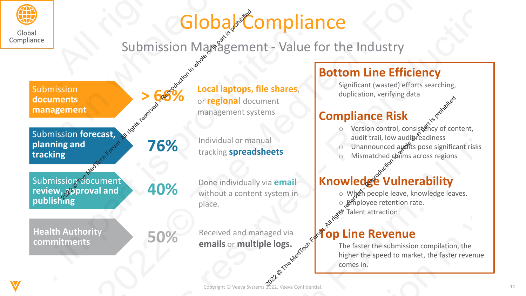![](_page_9_Picture_0.jpeg)

### **Global Compliance**

Submission Management - Value for the Industry

![](_page_9_Figure_3.jpeg)

### **Bottom Line Efficiency**

Significant (wasted) efforts searching, duplication, verifying data

### **Compliance Risk**

- o Version control, consistency of content, audit trail, low audit readiness
- Unannounced audits pose significant risks
- Mismatched claims across regions

### **Knowledge Vulnerability**

- o When people leave, knowledge leaves.
- o Employee retention rate.
- 

### **Top Line Revenue**

The faster the submission compilation, the higher the speed to market, the faster revenue comes in.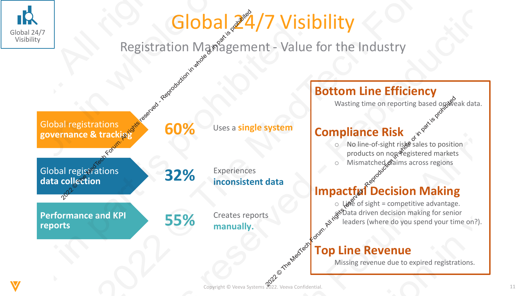![](_page_10_Picture_0.jpeg)

### Global 224/7 Visibility

Registration Management - Value for the Industry

![](_page_10_Figure_3.jpeg)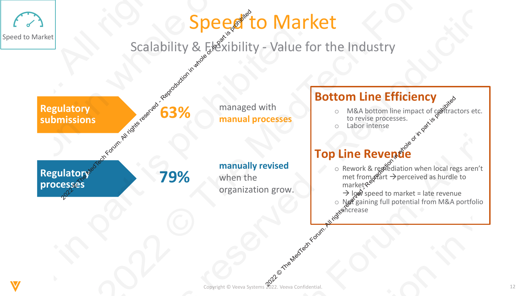### Copyright © Veeva Systems 2022. Veeva Confidential. Speed to Market Scalability &  $F<sub>s</sub>$   $\mathbb{R}$  xibility - Value for the Industry **Bottom Line Efficiency**  $\circ$  M&A bottom line impact of contractors etc. to revise processes. o Labor intense **Top Line Revenue** o Rework & repediation when local regs aren't met from  $\mathcal{S}^{\mathcal{C}}$ art  $\rightarrow$  perceived as hurdle to market  $\rightarrow$  low speed to market = late revenue o Net gaining full potential from M&A portfolio increase **Regulatory**  Regulatory<br>submissions **Regulatory processes 79%** Speed to Market managed with **manual processes manually revised**  when the **Speed to Manual Speed Corpulation**<br>
Scalability & Executive Section (1998)<br>
Scalability & Executive Section in the manual processes<br> **79%** manually revised<br>
Transfer organization grow. BOTTOM LINE ETHICIENCY<br>
CRESSES<br>
CONCORRECTED CONSTANT CONSTANT CONSTANT CONSTANT CONSTANT CONSTANT CONSTANT CONSTANT CONSTANT<br>
PRIVATE PREVENTION WHEN ONE of the month of the matter of the matter of the matter of the matt  $\begin{array}{|l|l|}\n\hline\n\text{Scalability & \text{GRM} & \text{Meal network} \\
\hline\n\text{Scalability & \text{GRM} & \text{Meal network} \\
\hline\n\text{meanual processes} & \text{mean} & \text{nonrespace} \\
\hline\n\text{meanual processes} & \text{nonrespace} & \text{nonrespace} \\
\hline\n\text{meanally revised} & \text{nonrespace} & \text{nonrespace} \\
\hline\n\text{mean} & \text{nonrespace} & \text{nonrespace} \\
\hline\n\text{mean} & \text{nonrespace} & \text{nonrespace} \\
\hline\n\text{mean} & \text{nonrespace} & \text{non$ Expeditor Market Scalability & Execution IVI of Seconds Contained and the Median Scalability - Value of the Median Scalability - Value of the Median Scalability of the Median Scalability of the Median Scalability of the Me Exercise to Market<br>
Excalability & Exercisibility - Value for the Industry<br> **Regulatory**<br> **Regulatory**<br> **Regulatory**<br> **Reproduced - Reproduction in particular and processes**<br> **Reproduction in the Efficiency**<br> **Regulatory**<br> Examples to Market<br>
Scalability & FeVibility - Value for the Industry<br>
Regulatory<br> **Examples of Care and All rights reserved**<br>
Regulatory<br> **Examples Access Contains reserved and All rights reserved and all rights reserved** Exercise to Market<br>
Excalability & Exercisibility - Value for the Industry<br> **Regulatory**<br> **Regulatory**<br> **Regulatory**<br> **Reproduced - Reproduction in particular and processes**<br> **Reproduction in the Efficiency**<br> **Regulatory**<br> 2022<br>
2022 Property of the Medicine of the Industry<br>
CONFIDENTIES<br>
2022<br>
2022 Manual processes<br>
2022 Manual processes<br>
2022 Manual processes<br>
2022 Manual processes<br>
2022 Manual processes<br>
2022 Manual processes<br>
2022 Manual Exercise to Market<br>
Excalability & Exercisibility - Value for the Industry<br> **Regulatory**<br> **Regulatory**<br> **Regulatory**<br> **Reproduced - Reproduction in particular and processes**<br> **Reproduction in the Efficiency**<br> **Regulatory**<br>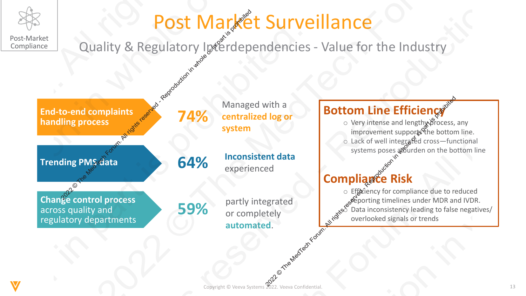![](_page_12_Picture_0.jpeg)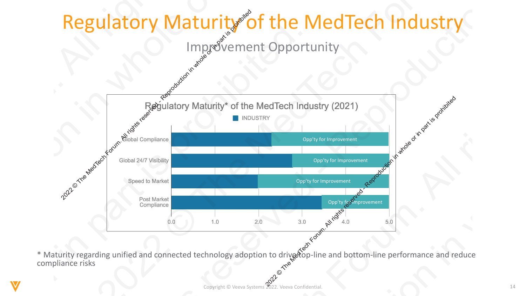![](_page_13_Figure_0.jpeg)

Copyright © Veeva Systems 2022. Veeva Confidential. \* Maturity regarding unified and connected technology adoption to drivetop-line and bottom-line performance and reduce compliance risks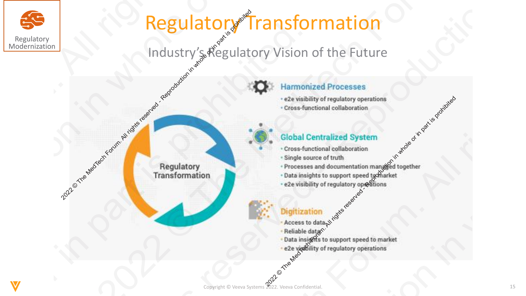![](_page_14_Picture_0.jpeg)

## **Regulatory Transformation** Regulatory s Regulatory **2022** Property of Franchise derivation in the Future<br>
2022 Property of Figure and Control Control Control Control Control Control Control Control Control Control Control Control Control Control Control Control Control Con **2021 CHANNEL Regulatory**<br>
2022 Mathematical Concernsion of the Future<br>
2021 Mathematical Concernse of Concernse or in concernse of Concernse or in particular concernse or in part is problem or in part is problem or in par **2021 CHANGE SEAL REGULATORY**<br>
Modernization<br>
Modernization<br>
Modernization<br>
Modernization in the Future<br>
Construction in the Future<br>
Construction in the Media Control and Search Construction in the Construction in the Cons **2021 CHANNEL Regulatory**<br>
2022 Mathematical Concernsion of the Future<br>
2021 Mathematical Concernse of Concernse or in concernse of Concernse or in particular concernse or in part is problem or in part is problem or in par 2022 Property and the Media Certain Control and the Secondary of The Hutter Control and the Secondary of The Media Certain Control and the Certain Certain Certain Certain Certain Certain Certain Certain Certain Certain Cer **2021 CHANNEL Regulatory**<br>
2022 Mathematical Concernsion of the Future<br>
2021 Mathematical Concernse of Concernse or in concernse of Concernse or in particular concernse or in part is problem or in part is problem or in par

# Industry's Regulatory Vision of the Future Procession of the Megulatory Vision in Muslem Content Content Content Content Content Content Content Content Content Content Content Content Content Content Content Content Content Content Content Content Content Content

2022 The Media Control of Media Experimentation in the Media System of The Single source of truth<br>
2022 The Media Media Media Control of Part is property and the Media Media Control of Part is problem in part is professio

- 
- 
- 
- 
- 

- 
- 
- 
-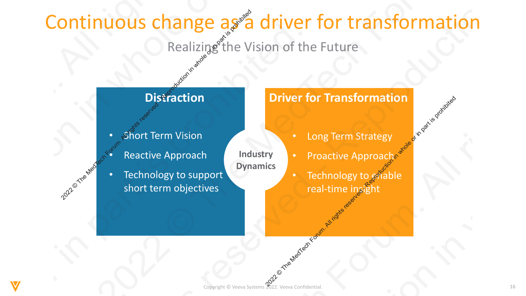## Continuous change as a driver for transformation **Distraction**<br> **Distraction**<br> **Distraction**<br> **Distraction**<br> **Distraction**<br> **Distraction**<br> **Distraction**<br> **Distraction**<br> **Distraction**<br> **Distraction**<br> **Distraction**<br> **Distraction**<br> **Distraction**<br> **Distraction**<br> **Distraction** 2022 Property<br>
2022 The Medicine Station of the Future<br>
Distraction<br>
Distraction<br>
Distraction<br>
Protective Approach<br>
Reactive Approach<br>
Reactive Approach<br>
Reactive Approach<br>
Reactive Approach<br>
Short term objectives<br>
Proacti 2021 COTTETH TUCUS CTIENTING Realizing the Vision of the Mediator Realizing the Vision of the Mediator of the Mediator Section 1997 Realizing the Mediator Realizing of the Vision of the Mediator Realizing the Vision of the 2021 Continuous change as a driver for transformation<br>
Realizing the Vision of the Future<br>
Distraction<br>
Distraction<br>
Reactive Approach<br>
Reactive Approach<br>
Reactive Approach<br>
Reactive Approach<br>
Reactive Approach<br>
Reactive A 2021 Continuous change as a children of the Future<br>
Poistaction<br>
Distraction<br>
Distraction<br>
Protective Approach<br>
Reactive Approach<br>
Reactive Approach<br>
Reactive Approach<br>
Receive Approach<br>
Receive Approach<br>
Technology to spa 2021 Continuous change as a driver for transformation<br>
Realizing the Vision of the Future<br>
Distraction<br>
Distraction<br>
Reactive Approach<br>
Reactive Approach<br>
Reactive Approach<br>
Reactive Approach<br>
Reactive Approach<br>
Reactive A 2022<br>
2021 Privation Realizing the Vision of the Future<br>
Distraction<br>
Distraction<br>
Distraction<br>
Distraction<br>
Privation<br>
Reactive Approach<br>
Reactive Approach<br>
Reactive Approach<br>
Reactive Approach<br>
Reactive Approach<br>
Proacti 2021 Continuous change as a driver for transformation<br>
Realizing the Vision of the Future<br>
Distraction<br>
Distraction<br>
Reactive Approach<br>
Reactive Approach<br>
Reactive Approach<br>
Reactive Approach<br>
Reactive Approach<br>
Reactive A

### Realizing the Vision of the Future

**Industry** 

**Dynamics**

- **Short Term Vision**
- Reactive Approach
- Technology to support short term objectives

- Long Term Strategy
- Proactive Approachs
- Technology to  $\mathcal{C}^*$  Technology to  $\mathcal{C}^*$ real-time insight **2022** China Contained State of China Contained State of China Contained State of China Contained State of China Contained State of China Contained State of China Contained State of China Contained State of China Contained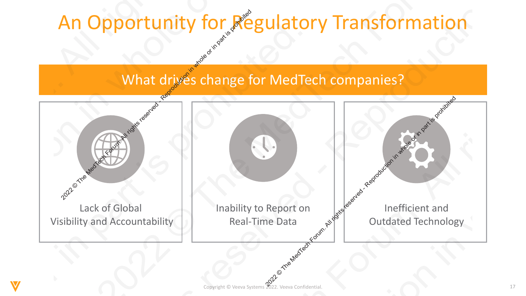What drives change for MedTech companies?

![](_page_16_Figure_2.jpeg)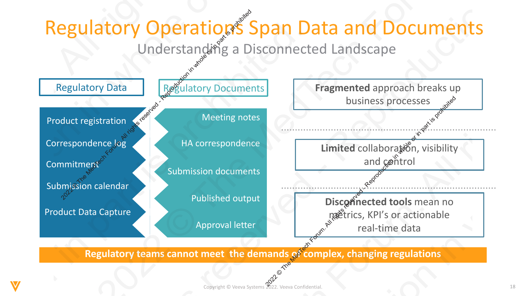![](_page_17_Figure_0.jpeg)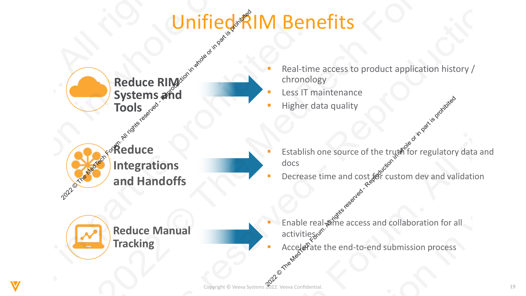### Unified AM Benefits

![](_page_18_Figure_1.jpeg)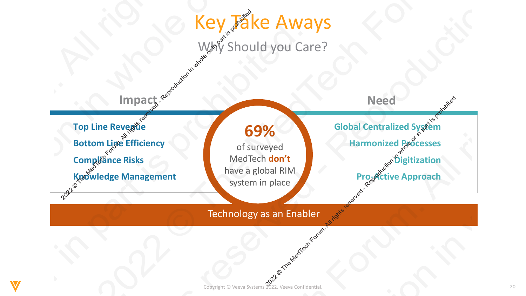![](_page_19_Figure_0.jpeg)